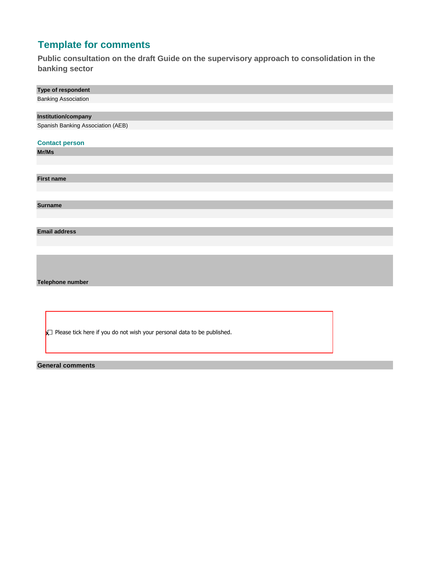## **Template for comments**

**Public consultation on the draft Guide on the supervisory approach to consolidation in the banking sector**

| Type of respondent                |
|-----------------------------------|
| <b>Banking Association</b>        |
|                                   |
| <b>Institution/company</b>        |
| Spanish Banking Association (AEB) |
|                                   |
| <b>Contact person</b>             |
| Mr/Ms                             |
|                                   |
|                                   |
| <b>First name</b>                 |
|                                   |
|                                   |
| <b>Surname</b>                    |
|                                   |
|                                   |
| <b>Email address</b>              |
|                                   |
|                                   |
|                                   |
|                                   |

**Telephone number**

 **X** Please tick here if you do not wish your personal data to be published.

## **General comments**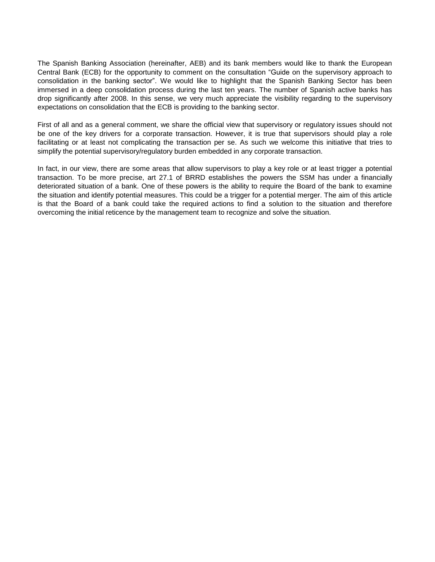The Spanish Banking Association (hereinafter, AEB) and its bank members would like to thank the European Central Bank (ECB) for the opportunity to comment on the consultation "Guide on the supervisory approach to consolidation in the banking sector". We would like to highlight that the Spanish Banking Sector has been immersed in a deep consolidation process during the last ten years. The number of Spanish active banks has drop significantly after 2008. In this sense, we very much appreciate the visibility regarding to the supervisory expectations on consolidation that the ECB is providing to the banking sector.

First of all and as a general comment, we share the official view that supervisory or regulatory issues should not be one of the key drivers for a corporate transaction. However, it is true that supervisors should play a role facilitating or at least not complicating the transaction per se. As such we welcome this initiative that tries to simplify the potential supervisory/regulatory burden embedded in any corporate transaction.

In fact, in our view, there are some areas that allow supervisors to play a key role or at least trigger a potential transaction. To be more precise, art 27.1 of BRRD establishes the powers the SSM has under a financially deteriorated situation of a bank. One of these powers is the ability to require the Board of the bank to examine the situation and identify potential measures. This could be a trigger for a potential merger. The aim of this article is that the Board of a bank could take the required actions to find a solution to the situation and therefore overcoming the initial reticence by the management team to recognize and solve the situation.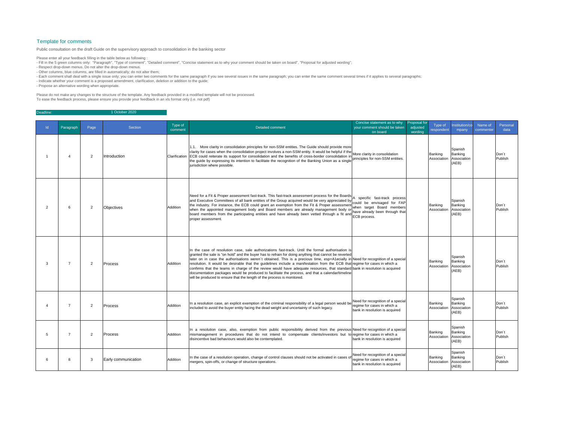| $\mathsf{Id}$ | Paragraph      | Page           | Section             | Type of<br>comment | <b>Detailed comment</b>                                                                                                                                                                                                                                                                                                                                                                                                                                                                                                                                                                                                                                                                                                                                                                      | Concise statement as to why<br>your comment should be taken<br>on board                            | Proposal for<br>adjusted<br>wording | Type of<br>respondent              | Institution/co<br>Name of<br>mpany<br>commenter | Personal<br>data            |
|---------------|----------------|----------------|---------------------|--------------------|----------------------------------------------------------------------------------------------------------------------------------------------------------------------------------------------------------------------------------------------------------------------------------------------------------------------------------------------------------------------------------------------------------------------------------------------------------------------------------------------------------------------------------------------------------------------------------------------------------------------------------------------------------------------------------------------------------------------------------------------------------------------------------------------|----------------------------------------------------------------------------------------------------|-------------------------------------|------------------------------------|-------------------------------------------------|-----------------------------|
|               |                | $\overline{2}$ | <b>Introduction</b> |                    | 1.1. More clarity in consolidation principles for non-SSM entities. The Guide should provide more<br>clarity for cases when the consolidation project involves a non-SSM entity. It would be helpful if the More clarity in consolidation<br>Clarification ECB could reiterate its support for consolidation and the benefits of cross-border consolidation in<br>the guide by expressing its intention to facilitate the recognition of the Banking Union as a single<br>jurisdiction where possible.                                                                                                                                                                                                                                                                                       | principles for non-SSM entities.                                                                   |                                     | Banking<br>Association             | Spanish<br>Banking<br>Association<br>(AEB)      | Don't<br>Publish            |
|               | 6              | $\overline{2}$ | Objectives          | Addition           | Need for a Fit & Proper assessment fast-track. This fast-track assessment process for the Boards<br>and Executive Committees of all bank entities of the Group acquired would be very appreciated by control the envisaged for FAP<br>the industry. For instance, the ECB could grant an exemption from the Fit & Proper assessment<br>when the appointed management body and Board members are already management body or<br>board members from the participating entities and have already been vetted through a fit and line survey<br>proper assessment.                                                                                                                                                                                                                                 | when target Board members<br>have already been through that                                        |                                     | Banking<br>Association             | Spanish<br>Banking<br>Association<br>(AEB)      | Don <sup>1</sup><br>Publish |
|               | $\overline{7}$ | $\overline{2}$ | <b>Process</b>      | Addition           | In the case of resolution case, sale authorizations fast-track. Until the formal authorisation is<br>granted the sale is "on hold" and the buyer has to refrain for doing anything that cannot be reverted<br>later on in case the authorisations weren't obtained. This is a precious time, esp+A1ecially in Need for recognition of a special<br>resolution. It would be desirable that the guidelines include a manifestation from the ECB that regime for cases in which a<br>confirms that the teams in charge of the review would have adequate resources, that standard bank in resolution is acquired<br>documentation packages would be produced to facilitate the process, and that a calendar/timeline<br>will be produced to ensure that the length of the process is monitored. |                                                                                                    |                                     | Banking<br>Association Association | Spanish<br>Banking<br>(AEB)                     | Don't<br>Publish            |
|               |                | $\overline{2}$ | Process             | Addition           | In a resolution case, an explicit exemption of the criminal responsibility of a legal person would be Need for recognition of a special<br>included to avoid the buyer entity facing the dead weight and uncertainty of such legacy.                                                                                                                                                                                                                                                                                                                                                                                                                                                                                                                                                         | regime for cases in which a<br>bank in resolution is acquired                                      |                                     | Banking<br>Association Association | Spanish<br>Banking<br>(AEB)                     | Don't<br>Publish            |
|               |                | $\overline{2}$ | Process             | Addition           | In a resolution case, also, exemption from public responsibility derived from the previous Need for recognition of a special<br>mismanagement in procedures that do not intend to compensate clients/investors but to regime for cases in which a<br>disincentive bad behaviours would also be contemplated.                                                                                                                                                                                                                                                                                                                                                                                                                                                                                 | bank in resolution is acquired                                                                     |                                     | Banking<br>Association Association | Spanish<br>Banking<br>(AEB)                     | Don't<br>Publish            |
|               | -8             | -3             | Early communication | Addition           | In the case of a resolution operation, change of control clauses should not be activated in cases of<br>mergers, spin-offs, or change of structure operations.                                                                                                                                                                                                                                                                                                                                                                                                                                                                                                                                                                                                                               | Need for recognition of a special<br>regime for cases in which a<br>bank in resolution is acquired |                                     | Banking<br>Association             | Spanish<br>Banking<br>Association<br>(AEB)      | Don't<br>Publish            |

- Fill in the 5 green columns only: "Paragraph", "Type of comment", "Detailed comment", "Concise statement as to why your comment should be taken on board", "Proposal for adjusted wording";
- Respect drop-down menus. Do not alter the drop-down menus.
- Other columns, blue columns, are filled in automatically; do not alter them;
- Each comment shall deal with a single issue only; you can enter two comments for the same paragraph if you see several issues in the same paragraph; you can enter the same comment several times if it applies to several p
- Indicate whether your comment is a proposed amendment, clarification, deletion or addition to the guide;
- Propose an alternative wording when appropriate.

| Deadline: | 1 October 2020 |
|-----------|----------------|

## Template for comments

Public consultation on the draft Guide on the supervisory approach to consolidation in the banking sector

Please enter all your feedback filling in the table below as following :

Please do not make any changes to the structure of the template. Any feedback provided in a modified template will not be processed. To ease the feedback process, please ensure you provide your feedback in an xls format only (i.e. not pdf)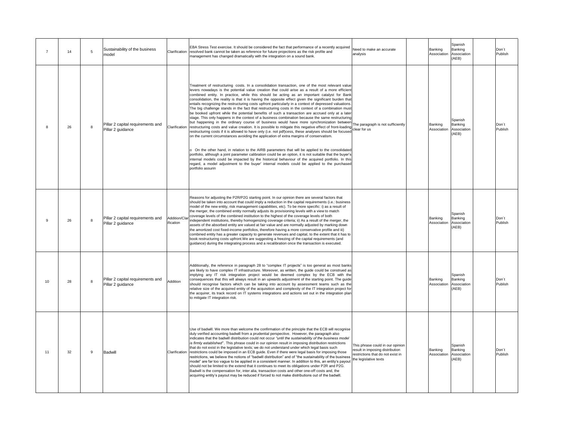|     | 14 | 5 | Sustainability of the business<br>model                |                            | EBA Stress Test exercise. It should be considered the fact that performance of a recently acquired<br>Clarification resolved bank cannot be taken as reference for future projections as the risk profile and<br>management has changed dramatically with the integration on a sound bank.                                                                                                                                                                                                                                                                                                                                                                                                                                                                                                                                                                                                                                                                                                                                                                                                                                                                                                                                                                                                                                                                                                                                                                                                                                                                                                                                                                                                                                                                                                                      | Need to make an accurate<br>analysis                                                                                              | Banking<br>Association Association | Spanish<br>Banking<br>(AEB)                       | Don't<br>Publish |
|-----|----|---|--------------------------------------------------------|----------------------------|-----------------------------------------------------------------------------------------------------------------------------------------------------------------------------------------------------------------------------------------------------------------------------------------------------------------------------------------------------------------------------------------------------------------------------------------------------------------------------------------------------------------------------------------------------------------------------------------------------------------------------------------------------------------------------------------------------------------------------------------------------------------------------------------------------------------------------------------------------------------------------------------------------------------------------------------------------------------------------------------------------------------------------------------------------------------------------------------------------------------------------------------------------------------------------------------------------------------------------------------------------------------------------------------------------------------------------------------------------------------------------------------------------------------------------------------------------------------------------------------------------------------------------------------------------------------------------------------------------------------------------------------------------------------------------------------------------------------------------------------------------------------------------------------------------------------|-----------------------------------------------------------------------------------------------------------------------------------|------------------------------------|---------------------------------------------------|------------------|
|     | 26 | 8 | Pillar 2 capital requirements and<br>Pillar 2 guidance |                            | Treatment of restructuring costs. In a consolidation transaction, one of the most relevant value<br>levers nowadays is the potential value creation that could arise as a result of a more efficient<br>combined entity. In practice, while this should be acting as an important catalyst for Bank<br>consolidation, the reality is that it is having the opposite effect given the significant burden that<br>entails recognizing the restructuring costs upfront particularly in a context of depressed valuations.<br>The big challenge stands in the fact that restructuring costs in the context of a combination must<br>be booked upfront while the potential benefits of such a transaction are accrued only at a later<br>stage. This only happens in the context of a business combination because the same restructuring<br>but happening in the ordinary course of business would have more synchronization between<br>but happening in the ordinary course of business would have more synchronization between.<br>Clarification restructuring costs and value creation. It is possible to mitigate this negative effect of front-loading line paragra<br>restructuring costs if it is allowed to have only (i.e. not pdf)cess, these analyses should be focused<br>on the current circumstances avoiding the application of extra margins of conservatism.<br>On the other hand, in relation to the AIRB parameters that will be applied to the consolidated<br>portfolio, although a joint parameter calibration could be an option, it is not suitable that the buyer's<br>internal models could be impacted by the historical behaviour of the acquired portfolio. In this<br>regard, a model adjustment to the buyer' internal models could be applied to the purchased<br>portfolio assurin |                                                                                                                                   | <b>Banking</b><br>Association      | Spanish<br>Banking<br>Association<br>(AEB)        | Don't<br>Publish |
|     | 26 | 8 | Pillar 2 capital requirements and<br>Pillar 2 guidance | Addition/Clar<br>ification | Reasons for adjusting the P2R/P2G starting point. In our opinion there are several factors that<br>should be taken into account that could imply a reduction in the capital requirements (i.e.: business<br>model of the new entity, risk management capabilities, etc). To be more specific: i) as a result of<br>the merger, the combined entity normally adjusts its provisioning levels with a view to match<br>coverage levels of the combined institution to the highest of the coverage levels of both<br>independent institutions, thereby homogenizing coverage criteria; ii) As a result of the merger, the<br>assets of the absorbed entity are valued at fair value and are normally adjusted by marking down<br>the amortized cost fixed-income portfolios, therefore having a more conservative profile and iii)<br>combined entity has a greater capacity to generate revenues and capital, to the extent that it has to<br>book restructuring costs upfront. We are suggesting a freezing of the capital requirements (and<br>guidance) during the integrating process and a recalibration once the transaction is executed.                                                                                                                                                                                                                                                                                                                                                                                                                                                                                                                                                                                                                                                                    |                                                                                                                                   | Banking<br>Association Association | Spanish<br><b>Banking</b><br>(AEB)                | Don't<br>Publish |
| 10  | 28 | 8 | Pillar 2 capital requirements and<br>Pillar 2 guidance | Addition                   | Additionally, the reference in paragraph 28 to "complex IT projects" is too general as most banks<br>are likely to have complex IT infrastructure. Moreover, as written, the guide could be construed as<br>implying any IT risk integration project would be deemed complex by the ECB with the<br>consequences that this will always result in an upwards adjustment of the starting point. The guide<br>should recognise factors which can be taking into account by assessment teams such as the<br>relative size of the acquired entity of the acquisition and complexity of the IT integration project for<br>the acquirer, its track record on IT systems integrations and actions set out in the integration plan<br>to mitigate IT integration risk.                                                                                                                                                                                                                                                                                                                                                                                                                                                                                                                                                                                                                                                                                                                                                                                                                                                                                                                                                                                                                                                   |                                                                                                                                   | Banking<br>Association             | Spanish<br><b>Banking</b><br>Association<br>(AEB) | Don't<br>Publish |
| -11 | 32 | 9 | Badwill                                                |                            | Use of badwill. We more than welcome the confirmation of the principle that the ECB will recognise<br>duly verified accounting badwill from a prudential perspective. However, the paragraph also<br>indicates that the badwill distribution could not occur "until the sustainability of the business model<br>is firmly established". This phrase could in our opinion result in imposing distribution restrictions<br>that do not exist in the legislative texts; we do not understand under which legal basis such<br>Clarification restrictions could be imposed in an ECB guide. Even if there were legal basis for imposing those<br>restrictions, we believe the notions of "badwill distribution" and of "the sustainability of the business<br>model" are far too vague to be applied in a consistent manner. In addition to this, an entity's payout<br>should not be limited to the extend that it continues to meet its obligations under P2R and P2G.<br>Badwill is the compensation for, inter alia, transaction costs and other one-off costs and, the<br>acquiring entity's payout may be reduced if forced to not make distributions out of the badwill.                                                                                                                                                                                                                                                                                                                                                                                                                                                                                                                                                                                                                                      | This phrase could in our opinion<br>result in imposing distribution<br>restrictions that do not exist in<br>the legislative texts | Banking<br>Association             | Spanish<br><b>Banking</b><br>Association<br>(AEB) | Don't<br>Publish |